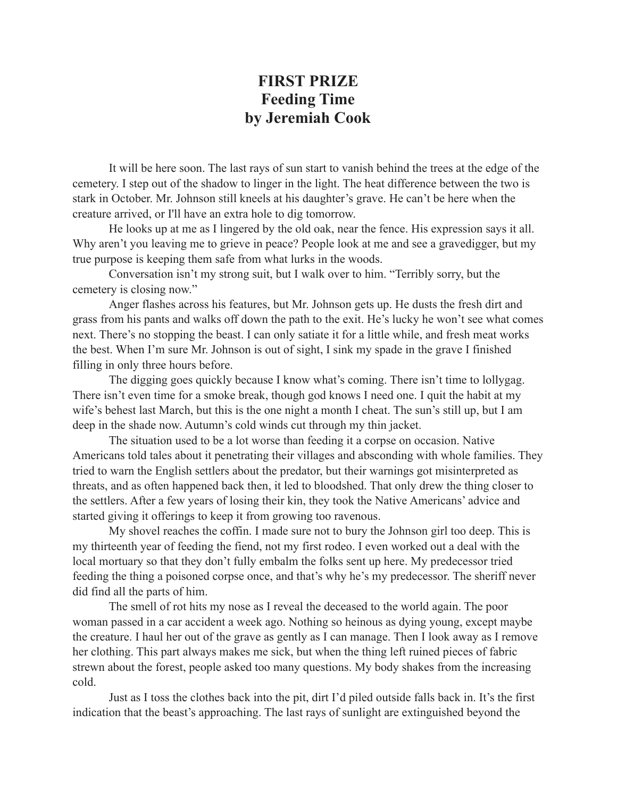## **FIRST PRIZE Feeding Time by Jeremiah Cook**

It will be here soon. The last rays of sun start to vanish behind the trees at the edge of the cemetery. I step out of the shadow to linger in the light. The heat difference between the two is stark in October. Mr. Johnson still kneels at his daughter's grave. He can't be here when the creature arrived, or I'll have an extra hole to dig tomorrow.

He looks up at me as I lingered by the old oak, near the fence. His expression says it all. Why aren't you leaving me to grieve in peace? People look at me and see a gravedigger, but my true purpose is keeping them safe from what lurks in the woods.

Conversation isn't my strong suit, but I walk over to him. "Terribly sorry, but the cemetery is closing now."

Anger flashes across his features, but Mr. Johnson gets up. He dusts the fresh dirt and grass from his pants and walks off down the path to the exit. He's lucky he won't see what comes next. There's no stopping the beast. I can only satiate it for a little while, and fresh meat works the best. When I'm sure Mr. Johnson is out of sight, I sink my spade in the grave I finished filling in only three hours before.

The digging goes quickly because I know what's coming. There isn't time to lollygag. There isn't even time for a smoke break, though god knows I need one. I quit the habit at my wife's behest last March, but this is the one night a month I cheat. The sun's still up, but I am deep in the shade now. Autumn's cold winds cut through my thin jacket.

The situation used to be a lot worse than feeding it a corpse on occasion. Native Americans told tales about it penetrating their villages and absconding with whole families. They tried to warn the English settlers about the predator, but their warnings got misinterpreted as threats, and as often happened back then, it led to bloodshed. That only drew the thing closer to the settlers. After a few years of losing their kin, they took the Native Americans' advice and started giving it offerings to keep it from growing too ravenous.

My shovel reaches the coffin. I made sure not to bury the Johnson girl too deep. This is my thirteenth year of feeding the fiend, not my first rodeo. I even worked out a deal with the local mortuary so that they don't fully embalm the folks sent up here. My predecessor tried feeding the thing a poisoned corpse once, and that's why he's my predecessor. The sheriff never did find all the parts of him.

The smell of rot hits my nose as I reveal the deceased to the world again. The poor woman passed in a car accident a week ago. Nothing so heinous as dying young, except maybe the creature. I haul her out of the grave as gently as I can manage. Then I look away as I remove her clothing. This part always makes me sick, but when the thing left ruined pieces of fabric strewn about the forest, people asked too many questions. My body shakes from the increasing cold.

Just as I toss the clothes back into the pit, dirt I'd piled outside falls back in. It's the first indication that the beast's approaching. The last rays of sunlight are extinguished beyond the